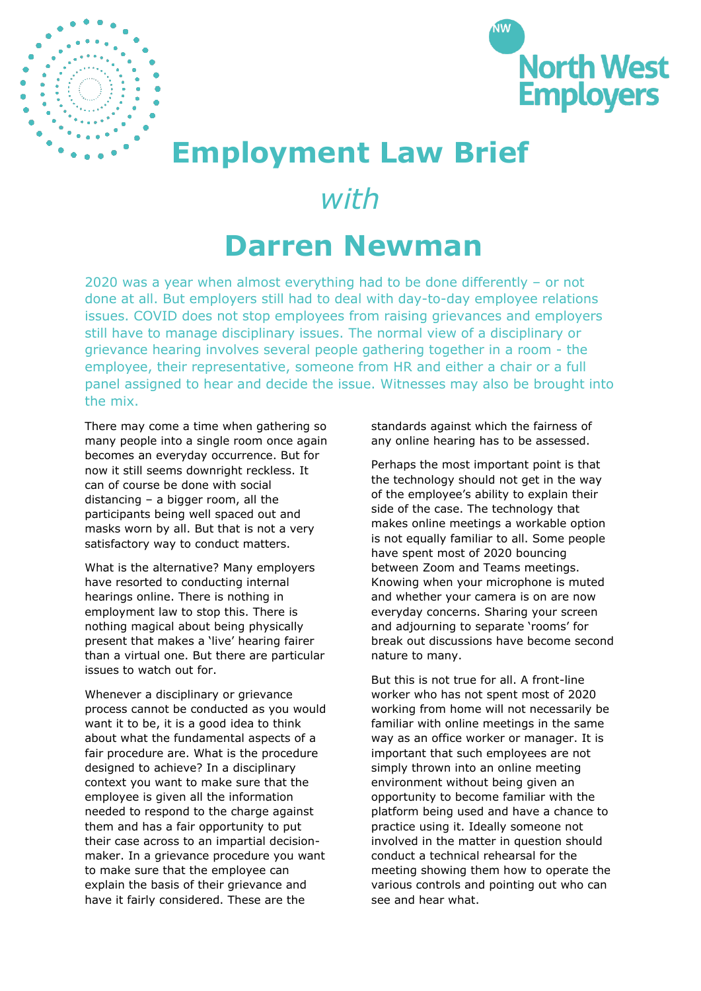



## **Employment Law Brief**

## *with*

## **Darren Newman**

2020 was a year when almost everything had to be done differently – or not done at all. But employers still had to deal with day-to-day employee relations issues. COVID does not stop employees from raising grievances and employers still have to manage disciplinary issues. The normal view of a disciplinary or grievance hearing involves several people gathering together in a room - the employee, their representative, someone from HR and either a chair or a full panel assigned to hear and decide the issue. Witnesses may also be brought into the mix.

There may come a time when gathering so many people into a single room once again becomes an everyday occurrence. But for now it still seems downright reckless. It can of course be done with social distancing – a bigger room, all the participants being well spaced out and masks worn by all. But that is not a very satisfactory way to conduct matters.

What is the alternative? Many employers have resorted to conducting internal hearings online. There is nothing in employment law to stop this. There is nothing magical about being physically present that makes a 'live' hearing fairer than a virtual one. But there are particular issues to watch out for.

Whenever a disciplinary or grievance process cannot be conducted as you would want it to be, it is a good idea to think about what the fundamental aspects of a fair procedure are. What is the procedure designed to achieve? In a disciplinary context you want to make sure that the employee is given all the information needed to respond to the charge against them and has a fair opportunity to put their case across to an impartial decisionmaker. In a grievance procedure you want to make sure that the employee can explain the basis of their grievance and have it fairly considered. These are the

standards against which the fairness of any online hearing has to be assessed.

Perhaps the most important point is that the technology should not get in the way of the employee's ability to explain their side of the case. The technology that makes online meetings a workable option is not equally familiar to all. Some people have spent most of 2020 bouncing between Zoom and Teams meetings. Knowing when your microphone is muted and whether your camera is on are now everyday concerns. Sharing your screen and adjourning to separate 'rooms' for break out discussions have become second nature to many.

But this is not true for all. A front-line worker who has not spent most of 2020 working from home will not necessarily be familiar with online meetings in the same way as an office worker or manager. It is important that such employees are not simply thrown into an online meeting environment without being given an opportunity to become familiar with the platform being used and have a chance to practice using it. Ideally someone not involved in the matter in question should conduct a technical rehearsal for the meeting showing them how to operate the various controls and pointing out who can see and hear what.